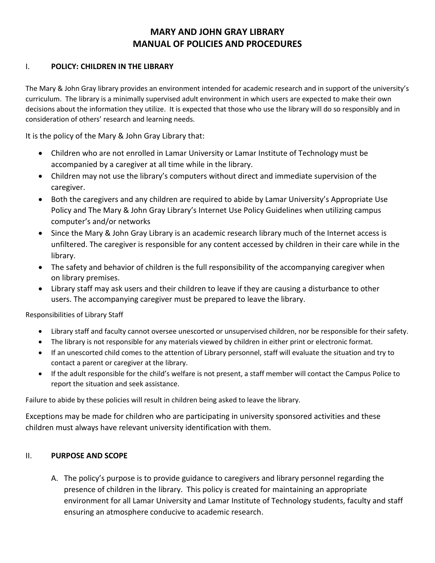# **MARY AND JOHN GRAY LIBRARY MANUAL OF POLICIES AND PROCEDURES**

### I. **POLICY: CHILDREN IN THE LIBRARY**

The Mary & John Gray library provides an environment intended for academic research and in support of the university's curriculum. The library is a minimally supervised adult environment in which users are expected to make their own decisions about the information they utilize. It is expected that those who use the library will do so responsibly and in consideration of others' research and learning needs.

It is the policy of the Mary & John Gray Library that:

- Children who are not enrolled in Lamar University or Lamar Institute of Technology must be accompanied by a caregiver at all time while in the library.
- Children may not use the library's computers without direct and immediate supervision of the caregiver.
- Both the caregivers and any children are required to abide by Lamar University's Appropriate Use Policy and The Mary & John Gray Library's Internet Use Policy Guidelines when utilizing campus computer's and/or networks
- Since the Mary & John Gray Library is an academic research library much of the Internet access is unfiltered. The caregiver is responsible for any content accessed by children in their care while in the library.
- The safety and behavior of children is the full responsibility of the accompanying caregiver when on library premises.
- Library staff may ask users and their children to leave if they are causing a disturbance to other users. The accompanying caregiver must be prepared to leave the library.

Responsibilities of Library Staff

- Library staff and faculty cannot oversee unescorted or unsupervised children, nor be responsible for their safety.
- The library is not responsible for any materials viewed by children in either print or electronic format.
- If an unescorted child comes to the attention of Library personnel, staff will evaluate the situation and try to contact a parent or caregiver at the library.
- If the adult responsible for the child's welfare is not present, a staff member will contact the Campus Police to report the situation and seek assistance.

Failure to abide by these policies will result in children being asked to leave the library.

Exceptions may be made for children who are participating in university sponsored activities and these children must always have relevant university identification with them.

# II. **PURPOSE AND SCOPE**

A. The policy's purpose is to provide guidance to caregivers and library personnel regarding the presence of children in the library. This policy is created for maintaining an appropriate environment for all Lamar University and Lamar Institute of Technology students, faculty and staff ensuring an atmosphere conducive to academic research.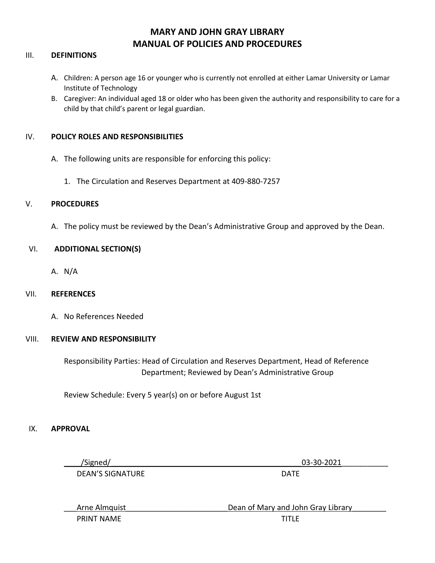# **MARY AND JOHN GRAY LIBRARY MANUAL OF POLICIES AND PROCEDURES**

#### III. **DEFINITIONS**

- A. Children: A person age 16 or younger who is currently not enrolled at either Lamar University or Lamar Institute of Technology
- B. Caregiver: An individual aged 18 or older who has been given the authority and responsibility to care for a child by that child's parent or legal guardian.

#### IV. **POLICY ROLES AND RESPONSIBILITIES**

- A. The following units are responsible for enforcing this policy:
	- 1. The Circulation and Reserves Department at 409-880-7257

#### V. **PROCEDURES**

A. The policy must be reviewed by the Dean's Administrative Group and approved by the Dean.

#### VI. **ADDITIONAL SECTION(S)**

A. N/A

#### VII. **REFERENCES**

A. No References Needed

#### VIII. **REVIEW AND RESPONSIBILITY**

Responsibility Parties: Head of Circulation and Reserves Department, Head of Reference Department; Reviewed by Dean's Administrative Group

Review Schedule: Every 5 year(s) on or before August 1st

#### IX. **APPROVAL**

\_\_\_\_/Signed/\_\_\_\_\_\_\_\_\_\_\_\_\_\_\_\_\_\_\_\_\_\_\_\_\_\_\_\_\_\_\_\_\_\_\_\_\_\_\_\_\_\_\_\_\_03-30-2021\_\_\_\_\_\_\_\_\_\_\_

DEAN'S SIGNATURE DATE

| Arne Almquist | Dean of Mary and Jo |
|---------------|---------------------|
| PRINT NAME    | TITLE               |

Dean of Mary and John Gray Library